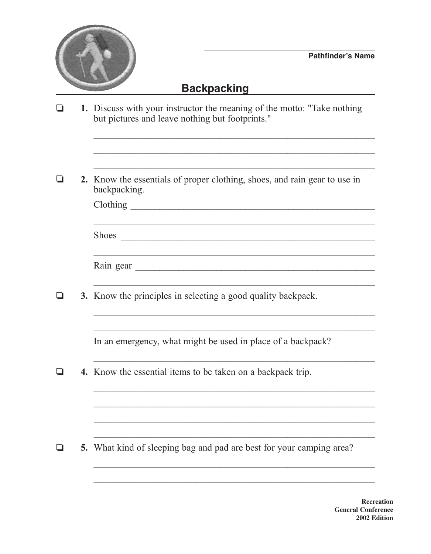

## **Backpacking**

- 1. Discuss with your instructor the meaning of the motto: "Take nothing"  $\Box$ but pictures and leave nothing but footprints."
- 2. Know the essentials of proper clothing, shoes, and rain gear to use in  $\Box$ backpacking.

| Clothing |  |
|----------|--|
|          |  |

| Rain gear |  |
|-----------|--|
|-----------|--|

Q 3. Know the principles in selecting a good quality backpack.

In an emergency, what might be used in place of a backpack?

<u> 1989 - Johann John Stone, mars and deutscher Stone († 1989)</u>

<u> 1989 - Johann Harry Harry Harry Harry Harry Harry Harry Harry Harry Harry Harry Harry Harry Harry Harry Harry</u>

<u> 1989 - Johann John Stone, mensk politiker (\* 1958)</u>

4. Know the essential items to be taken on a backpack trip.  $\Box$ 

Q 5. What kind of sleeping bag and pad are best for your camping area?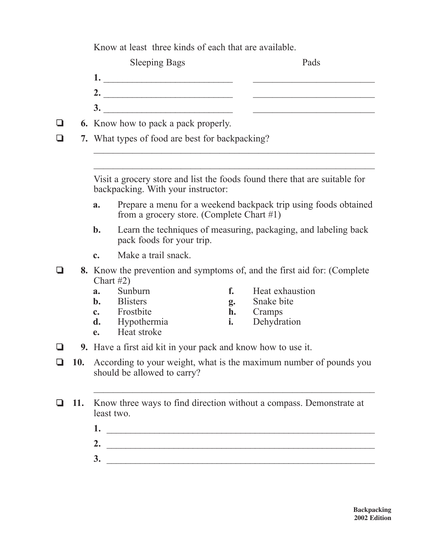Know at least three kinds of each that are available.

|   | <b>Sleeping Bags</b>                        | Pads |
|---|---------------------------------------------|------|
|   |                                             |      |
|   |                                             |      |
|   | $\mathbf{3}$                                |      |
| ❏ | <b>6.</b> Know how to pack a pack properly. |      |

❏ **7.** What types of food are best for backpacking?

Visit a grocery store and list the foods found there that are suitable for backpacking. With your instructor:

 $\mathcal{L}_\text{max}$  , and the contract of the contract of the contract of the contract of the contract of the contract of the contract of the contract of the contract of the contract of the contract of the contract of the contr

- **a.** Prepare a menu for a weekend backpack trip using foods obtained from a grocery store. (Complete Chart #1)
- **b.** Learn the techniques of measuring, packaging, and labeling back pack foods for your trip.
- **c.** Make a trail snack.
- ❏ **8.** Know the prevention and symptoms of, and the first aid for: (Complete Chart  $#2$ )<br>**a.** Sunburn
	- **a.** Sunburn **f.** Heat exhaustion
	- **b.** Blisters **g.** Snake bite
	-

 $\_$  , and the set of the set of the set of the set of the set of the set of the set of the set of the set of the set of the set of the set of the set of the set of the set of the set of the set of the set of the set of th

- 
- **c.** Frostbite **h.** Cramps<br>**d.** Hypothermia **h.** Dehydration **d.** Hypothermia **i.**
- **e.** Heat stroke
- ❏ **9.** Have a first aid kit in your pack and know how to use it.
- ❏ **10.** According to your weight, what is the maximum number of pounds you should be allowed to carry?
- ❏ **11.** Know three ways to find direction without a compass. Demonstrate at least two.
	- **1.** \_\_\_\_\_\_\_\_\_\_\_\_\_\_\_\_\_\_\_\_\_\_\_\_\_\_\_\_\_\_\_\_\_\_\_\_\_\_\_\_\_\_\_\_\_\_\_\_\_\_\_\_\_\_\_\_

 $\mathcal{L}_\text{max}$  and the contract of the contract of the contract of the contract of the contract of the contract of

- **2.** \_\_\_\_\_\_\_\_\_\_\_\_\_\_\_\_\_\_\_\_\_\_\_\_\_\_\_\_\_\_\_\_\_\_\_\_\_\_\_\_\_\_\_\_\_\_\_\_\_\_\_\_\_\_\_\_
- **3.** \_\_\_\_\_\_\_\_\_\_\_\_\_\_\_\_\_\_\_\_\_\_\_\_\_\_\_\_\_\_\_\_\_\_\_\_\_\_\_\_\_\_\_\_\_\_\_\_\_\_\_\_\_\_\_\_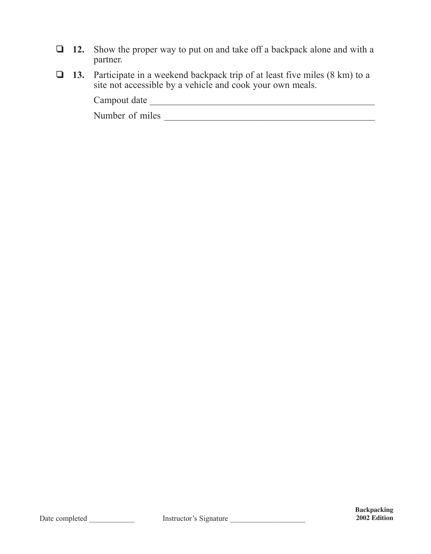- ❏ **12.** Show the proper way to put on and take off a backpack alone and with a partner.
- ❏ **13.** Participate in a weekend backpack trip of at least five miles (8 km) to a site not accessible by a vehicle and cook your own meals.

Campout date

Number of miles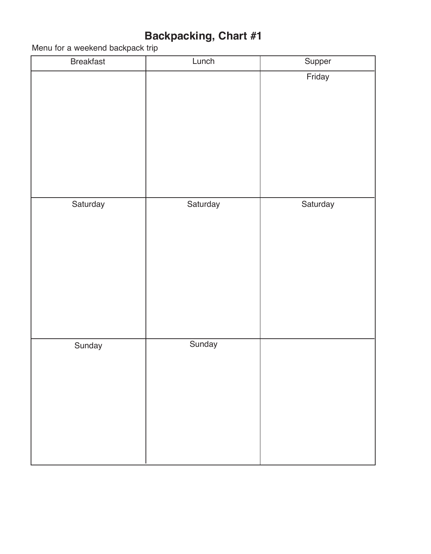## **Backpacking, Chart #1**

Menu for a weekend backpack trip

| <b>Breakfast</b> | Lunch    | Supper   |
|------------------|----------|----------|
|                  |          | Friday   |
| Saturday         | Saturday | Saturday |
| Sunday           | Sunday   |          |